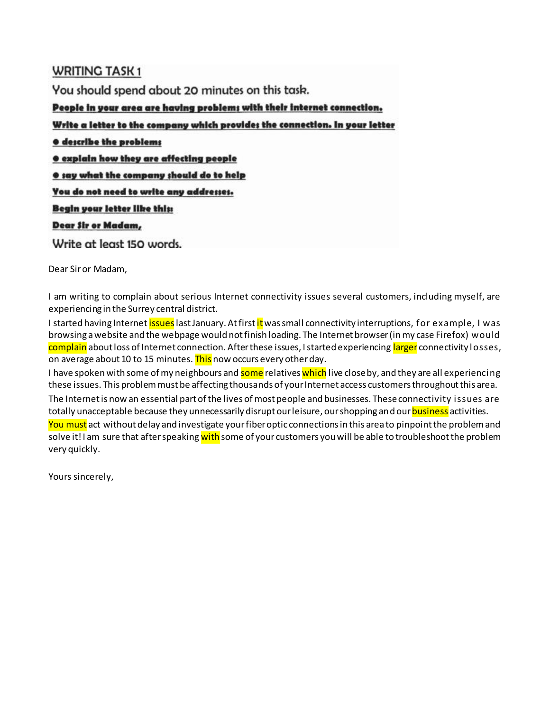# **WRITING TASK1**

You should spend about 20 minutes on this task.

People in your area are having problems with their internet connection.

Write a letter to the company which provides the connection. In your letter

 $\bullet$  **describe the problems** 

**.** explain how they are affecting people

**O** say what the company should do to help

You do not need to write any addresses.

Begin your letter like this:

#### Dear Sir or Madam,

Write at least 150 words.

Dear Sir or Madam,

I am writing to complain about serious Internet connectivity issues several customers, including myself, are experiencing in the Surrey central district.

I started having Internet <mark>issues</mark> last January. At first <mark>it</mark> was small connectivity interruptions, for example, I was browsing a website and the webpage would not finish loading. The Internet browser (in my case Firefox) would complain about loss of Internet connection. After these issues, I started experiencing larger connectivity losses, on average about 10 to 15 minutes. This now occurs every other day.

I have spoken with some of my neighbours and <mark>some</mark> relatives <mark>which</mark> live close by, and they are all experiencing these issues. This problem must be affecting thousands of your Internet access customers throughout this area. The Internet is now an essential part of the lives of most people and businesses. These connectivity issues are totally unacceptable because they unnecessarily disrupt our leisure, our shopping and our **business** activities. You must act without delay and investigate your fiber optic connections in this area to pinpoint the problem and solve it! I am sure that after speaking with some of your customers you will be able to troubleshoot the problem very quickly.

Yours sincerely,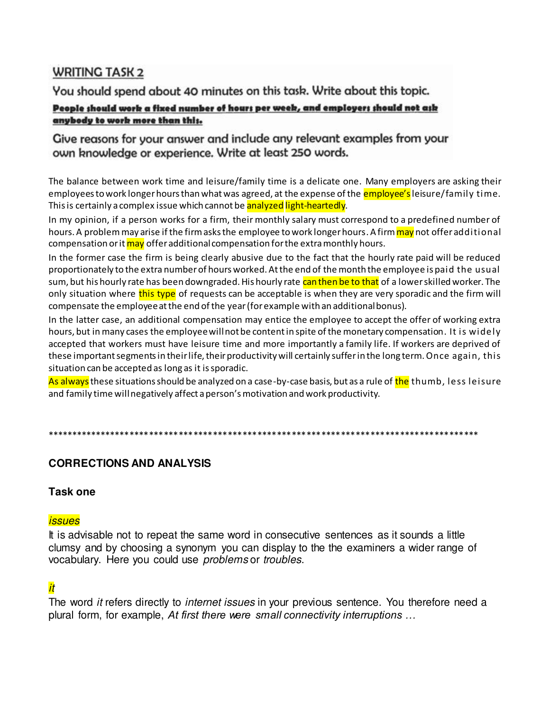# **WRITING TASK 2**

You should spend about 40 minutes on this task. Write about this topic.

# People should work a fixed number of hours per week, and employers should not ask anybody to work more than this.

# Give reasons for your answer and include any relevant examples from your own knowledge or experience. Write at least 250 words.

The balance between work time and leisure/family time is a delicate one. Many employers are asking their employees to work longer hours than what was agreed, at the expense of the **employee's** leisure/family time. This is certainly a complex issue which cannot be analyzed light-heartedly.

In my opinion, if a person works for a firm, their monthly salary must correspond to a predefined number of hours. A problem may arise if the firm asks the employee to work longer hours. A firm may not offer additional compensation or it may offer additional compensation for the extra monthly hours.

In the former case the firm is being clearly abusive due to the fact that the hourly rate paid will be reduced proportionately to the extra number of hours worked. At the end of the month the employee is paid the usual sum, but his hourly rate has been downgraded. His hourly rate can then be to that of a lower skilled worker. The only situation where this type of requests can be acceptable is when they are very sporadic and the firm will compensate the employee at the end of the year (for example with an additional bonus).

In the latter case, an additional compensation may entice the employee to accept the offer of working extra hours, but in many cases the employee will not be content in spite of the monetary compensation. It is widely accepted that workers must have leisure time and more importantly a family life. If workers are deprived of these important segments in their life, their productivity will certainly suffer in the long term. Once again, this situation can be accepted as long as it is sporadic.

As always these situations should be analyzed on a case-by-case basis, but as a rule of the thumb, less leisure and family time will negatively affect a person's motivation and work productivity.

# **CORRECTIONS AND ANALYSIS**

# Task one

# *issues*

It is advisable not to repeat the same word in consecutive sentences as it sounds a little clumsy and by choosing a synonym you can display to the the examiners a wider range of vocabulary. Here you could use problems or troubles.

# *it*

The word it refers directly to *internet issues* in your previous sentence. You therefore need a plural form, for example, At first there were small connectivity interruptions ...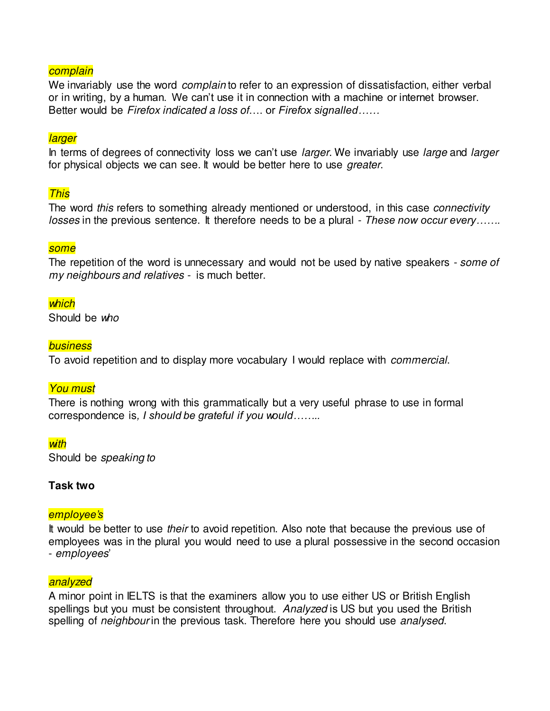### **complain**

We invariably use the word *complain* to refer to an expression of dissatisfaction, either verbal or in writing, by a human. We can't use it in connection with a machine or internet browser. Better would be Firefox indicated a loss of…. or *Firefox signalled……*

#### **larger**

In terms of degrees of connectivity loss we can't use *larger*. We invariably use *large* and *larger* for physical objects we can see. It would be better here to use greater.

#### This

The word this refers to something already mentioned or understood, in this case *connectivity* losses in the previous sentence. It therefore needs to be a plural - *These now occur every…….*

#### some

The repetition of the word is unnecessary and would not be used by native speakers - some of my neighbours and relatives - is much better.

#### which

Should be who

#### **business**

To avoid repetition and to display more vocabulary I would replace with commercial.

#### You must

There is nothing wrong with this grammatically but a very useful phrase to use in formal correspondence is*, I should be grateful if you would……..*

#### **with**

Should be speaking to

#### **Task two**

#### *employee's*

It would be better to use their to avoid repetition. Also note that because the previous use of employees was in the plural you would need to use a plural possessive in the second occasion - employees'

#### analyzed

A minor point in IELTS is that the examiners allow you to use either US or British English spellings but you must be consistent throughout. Analyzed is US but you used the British spelling of neighbour in the previous task. Therefore here you should use analysed.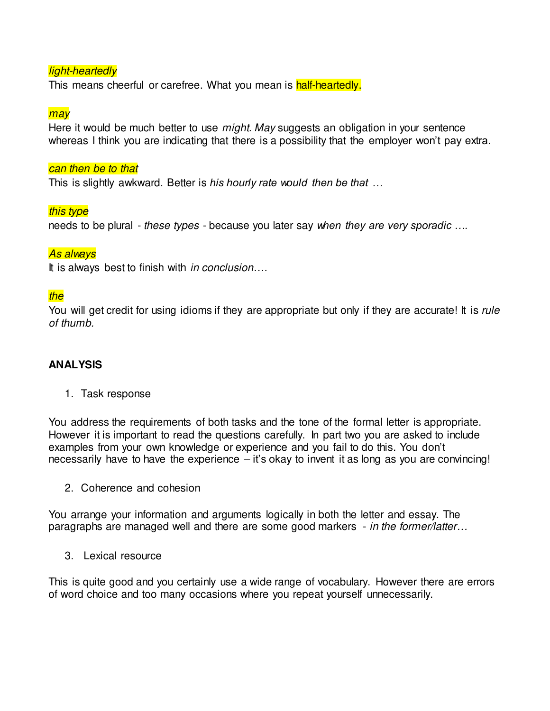# light-heartedly

This means cheerful or carefree. What you mean is half-heartedly.

#### may

Here it would be much better to use *might. May* suggests an obligation in your sentence whereas I think you are indicating that there is a possibility that the employer won't pay extra.

#### can then be to that

This is slightly awkward. Better is *his hourly rate would then be that …*

### this type

needs to be plural - these types - because you later say *when they are very sporadic ….*

### As always

It is always best to finish with *in conclusion*....

### the

You will get credit for using idioms if they are appropriate but only if they are accurate! It is rule of thumb.

#### **ANALYSIS**

1. Task response

You address the requirements of both tasks and the tone of the formal letter is appropriate. However it is important to read the questions carefully. In part two you are asked to include examples from your own knowledge or experience and you fail to do this. You don't necessarily have to have the experience – it's okay to invent it as long as you are convincing!

2. Coherence and cohesion

You arrange your information and arguments logically in both the letter and essay. The paragraphs are managed well and there are some good markers - in the former/latter*…*

3. Lexical resource

This is quite good and you certainly use a wide range of vocabulary. However there are errors of word choice and too many occasions where you repeat yourself unnecessarily.